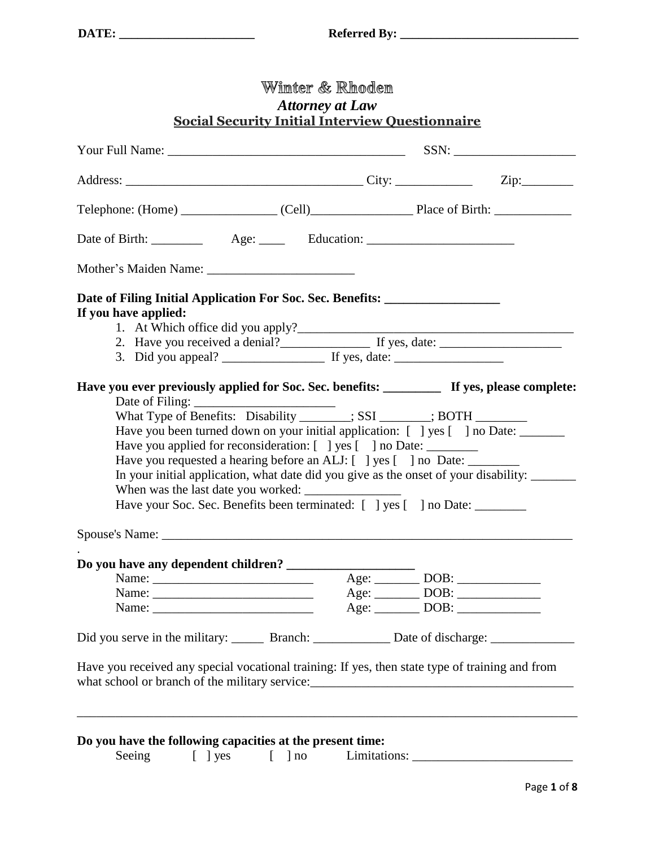| Date of Filing Initial Application For Soc. Sec. Benefits: _____________________                     |                                                                                      |
|------------------------------------------------------------------------------------------------------|--------------------------------------------------------------------------------------|
| If you have applied:                                                                                 |                                                                                      |
|                                                                                                      | 2. Have you received a denial?<br>If yes, date:                                      |
|                                                                                                      |                                                                                      |
| Have you ever previously applied for Soc. Sec. benefits: ___________ If yes, please complete:        |                                                                                      |
| What Type of Benefits: Disability _______; SSI _____; BOTH _______                                   |                                                                                      |
| Have you been turned down on your initial application: [ ] yes [ ] no Date: ______                   |                                                                                      |
|                                                                                                      |                                                                                      |
|                                                                                                      |                                                                                      |
| Have you applied for reconsideration: [ ] yes [ ] no Date: ________                                  |                                                                                      |
| Have you requested a hearing before an ALJ: [ ] yes [ ] no Date: _______                             |                                                                                      |
|                                                                                                      |                                                                                      |
| Have your Soc. Sec. Benefits been terminated: [ ] yes [ ] no Date: _______                           | In your initial application, what date did you give as the onset of your disability: |
|                                                                                                      |                                                                                      |
|                                                                                                      |                                                                                      |
| Do you have any dependent children? ____                                                             | $Age: \_\_\_\_DBB: \_\_\_\_\_\_\_$                                                   |
|                                                                                                      |                                                                                      |
|                                                                                                      | $Age:$ DOB:                                                                          |
| Did you serve in the military: _________ Branch: _________________ Date of discharge: ______________ |                                                                                      |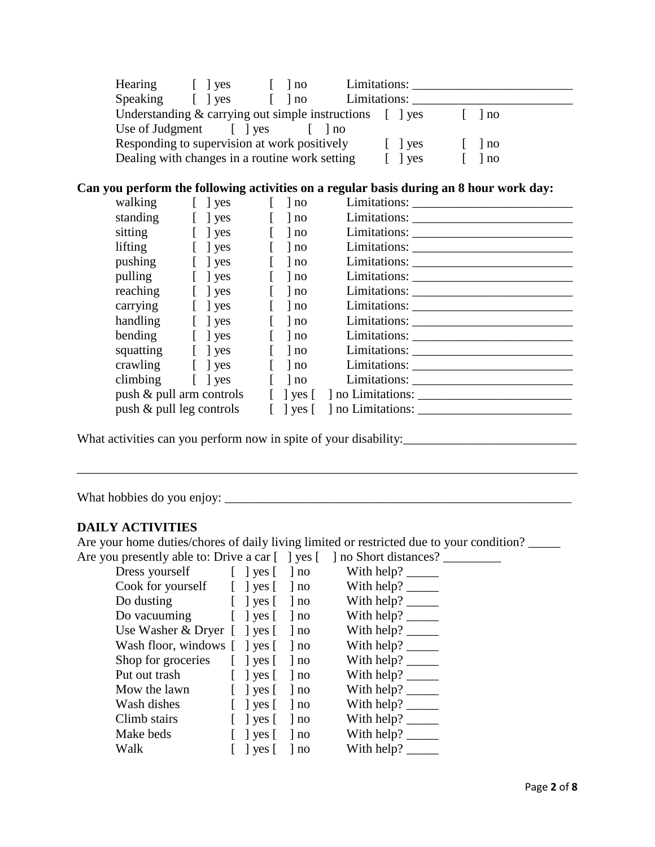| Hearing                                   | $\vert$ $\vert$ ves   | l no                                           | Limitations:                                                                                 |      |
|-------------------------------------------|-----------------------|------------------------------------------------|----------------------------------------------------------------------------------------------|------|
| Speaking                                  | $\lceil \ \rceil$ yes | l no                                           | Limitations:                                                                                 |      |
|                                           |                       |                                                | Understanding $&$ carrying out simple instructions $\begin{bmatrix} \quad \end{bmatrix}$ yes | l no |
| Use of Judgment $\lceil \cdot \rceil$ yes |                       |                                                | l no                                                                                         |      |
|                                           |                       | Responding to supervision at work positively   | $\vert$   yes                                                                                | no   |
|                                           |                       | Dealing with changes in a routine work setting | l yes                                                                                        | no   |

## **Can you perform the following activities on a regular basis during an 8 hour work day:**

| walking                     | $\lceil \ \rceil$ yes    |              | $\ln 0$ |                                             |
|-----------------------------|--------------------------|--------------|---------|---------------------------------------------|
| standing                    | $\lceil \ \rceil$ yes    |              | $\ln 0$ |                                             |
| sitting                     | $\lceil \;\; \rceil$ yes |              | no      |                                             |
| lifting                     | $\lceil \ \rceil$ yes    |              | $\ln 0$ |                                             |
| pushing                     | $\lceil \ \ \rceil$ yes  | $\mathbf{L}$ | $\ln 0$ |                                             |
| pulling                     | $\lceil \ \rceil$ yes    |              | no      |                                             |
| reaching                    | $\lceil \ \rfloor$ yes   | $\mathbf{L}$ | $\ln 0$ |                                             |
| carrying                    | $\lceil \ \rceil$ yes    |              | $\ln 0$ |                                             |
| handling                    | $\lceil \ \rceil$ yes    | $\mathbf{L}$ | $\ln 0$ |                                             |
| bending                     | $\lceil \ \rceil$ yes    |              | $\ln 0$ |                                             |
| squatting [] yes            |                          | $\mathbf{L}$ | no      |                                             |
| crawling [ ] yes            |                          |              | $\ln 0$ |                                             |
| climbing [ ] yes            |                          |              | $\ln 0$ |                                             |
| push & pull arm controls    |                          | $\mathbf{L}$ |         | $\vert$ yes $\vert$ $\vert$ no Limitations: |
| push $\&$ pull leg controls |                          |              |         |                                             |

What activities can you perform now in spite of your disability:\_\_\_\_\_\_\_\_\_\_\_\_\_\_\_\_\_\_\_\_\_\_\_\_\_\_\_

What hobbies do you enjoy: \_\_\_\_\_\_\_\_\_\_\_\_\_\_\_\_\_\_\_\_\_\_\_\_\_\_\_\_\_\_\_\_\_\_\_\_\_\_\_\_\_\_\_\_\_\_\_\_\_\_\_\_\_\_

### **DAILY ACTIVITIES**

Are your home duties/chores of daily living limited or restricted due to your condition?

| Are you presently able to: Drive a car [ ] yes [ ] no Short distances?                    |                                            |                                                                                                                                                                                                                                                                                                                                                                                                                           |
|-------------------------------------------------------------------------------------------|--------------------------------------------|---------------------------------------------------------------------------------------------------------------------------------------------------------------------------------------------------------------------------------------------------------------------------------------------------------------------------------------------------------------------------------------------------------------------------|
|                                                                                           |                                            | Dress yourself [ ] yes [ ] no With help? ________                                                                                                                                                                                                                                                                                                                                                                         |
| Cook for yourself $\left[\right]$ yes $\left[\right]$ no                                  |                                            | With help? $\frac{1}{\sqrt{1-\frac{1}{2}}\sqrt{1-\frac{1}{2}}\sqrt{1-\frac{1}{2}}\sqrt{1-\frac{1}{2}}\sqrt{1-\frac{1}{2}}$                                                                                                                                                                                                                                                                                                |
| Do dusting [ ] yes [ ] no                                                                 |                                            | With help? $\_\_$                                                                                                                                                                                                                                                                                                                                                                                                         |
| Do vacuuming [ ] yes [ ] no                                                               |                                            | With help? $\frac{1}{\sqrt{1-\frac{1}{2}}\sqrt{1-\frac{1}{2}}\sqrt{1-\frac{1}{2}}\sqrt{1-\frac{1}{2}}\sqrt{1-\frac{1}{2}}$                                                                                                                                                                                                                                                                                                |
| Use Washer & Dryer $\lbrack \quad \rbrack$ yes $\lbrack \quad \rbrack$ no                 |                                            | With help? $\_\_\_\_\_\_\_\_\_\_\_\_\_\_\_\_\_\_\_\_\_\_\_\_\_\_\_\_\_\_$                                                                                                                                                                                                                                                                                                                                                 |
| Wash floor, windows [ ] yes [ ] no                                                        |                                            | With help? $\frac{1}{\sqrt{1-\frac{1}{\sqrt{1-\frac{1}{\sqrt{1-\frac{1}{\sqrt{1-\frac{1}{\sqrt{1-\frac{1}{\sqrt{1-\frac{1}{\sqrt{1-\frac{1}{\sqrt{1-\frac{1}{\sqrt{1-\frac{1}{\sqrt{1-\frac{1}{\sqrt{1-\frac{1}{\sqrt{1-\frac{1}{\sqrt{1-\frac{1}{\sqrt{1-\frac{1}{\sqrt{1-\frac{1}{\sqrt{1-\frac{1}{\sqrt{1-\frac{1}{\sqrt{1-\frac{1}{\sqrt{1-\frac{1}{\sqrt{1-\frac{1}{\sqrt{1-\frac{1}{\sqrt{1-\frac{1}{\sqrt{1-\frac$ |
| Shop for groceries $\begin{bmatrix} \end{bmatrix}$ yes $\begin{bmatrix} \end{bmatrix}$ no |                                            | With help? $\frac{ }{ }$                                                                                                                                                                                                                                                                                                                                                                                                  |
| Put out trash [ ] yes [ ] no                                                              |                                            | With help? $\frac{1}{\sqrt{1-\frac{1}{\sqrt{1-\frac{1}{\sqrt{1-\frac{1}{\sqrt{1-\frac{1}{\sqrt{1-\frac{1}{\sqrt{1-\frac{1}{\sqrt{1-\frac{1}{\sqrt{1-\frac{1}{\sqrt{1-\frac{1}{\sqrt{1-\frac{1}{\sqrt{1-\frac{1}{\sqrt{1-\frac{1}{\sqrt{1-\frac{1}{\sqrt{1-\frac{1}{\sqrt{1-\frac{1}{\sqrt{1-\frac{1}{\sqrt{1-\frac{1}{\sqrt{1-\frac{1}{\sqrt{1-\frac{1}{\sqrt{1-\frac{1}{\sqrt{1-\frac{1}{\sqrt{1-\frac{1}{\sqrt{1-\frac$ |
| Mow the lawn [ ] yes [ ] no                                                               |                                            | With help? $\_\_$                                                                                                                                                                                                                                                                                                                                                                                                         |
| Wash dishes [ ] yes [ ] no                                                                |                                            | With help? $\frac{1}{\sqrt{1-\frac{1}{2}}\sqrt{1-\frac{1}{2}}\sqrt{1-\frac{1}{2}}\sqrt{1-\frac{1}{2}}\sqrt{1-\frac{1}{2}}$                                                                                                                                                                                                                                                                                                |
| Climb stairs                                                                              | $\lceil \ \rceil$ yes $\lceil \ \rceil$ no | With help? $\frac{1}{\sqrt{1-\frac{1}{\sqrt{1-\frac{1}{\sqrt{1-\frac{1}{\sqrt{1-\frac{1}{\sqrt{1-\frac{1}{\sqrt{1-\frac{1}{\sqrt{1-\frac{1}{\sqrt{1-\frac{1}{\sqrt{1-\frac{1}{\sqrt{1-\frac{1}{\sqrt{1-\frac{1}{\sqrt{1-\frac{1}{\sqrt{1-\frac{1}{\sqrt{1-\frac{1}{\sqrt{1-\frac{1}{\sqrt{1-\frac{1}{\sqrt{1-\frac{1}{\sqrt{1-\frac{1}{\sqrt{1-\frac{1}{\sqrt{1-\frac{1}{\sqrt{1-\frac{1}{\sqrt{1-\frac{1}{\sqrt{1-\frac$ |
| Make beds                                                                                 | $[$ ] yes $[$ ] no                         | With help? $\frac{1}{\sqrt{1-\frac{1}{2}}\sqrt{1-\frac{1}{2}}\sqrt{1-\frac{1}{2}}\sqrt{1-\frac{1}{2}}\sqrt{1-\frac{1}{2}}$                                                                                                                                                                                                                                                                                                |
| Walk                                                                                      | $\lceil$   yes $\lceil$   no               | With help? $\frac{ }{ }$                                                                                                                                                                                                                                                                                                                                                                                                  |
|                                                                                           |                                            |                                                                                                                                                                                                                                                                                                                                                                                                                           |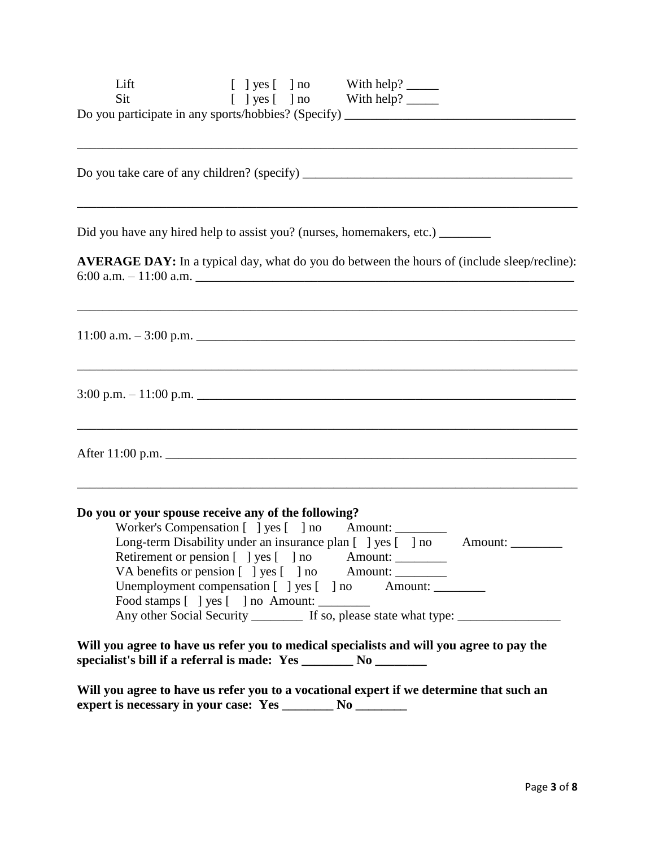| Lift                                                                                                                                                         |  | $[$ ] yes $[$ ] no With help? ________                                                                                                      |                                                                                                    |
|--------------------------------------------------------------------------------------------------------------------------------------------------------------|--|---------------------------------------------------------------------------------------------------------------------------------------------|----------------------------------------------------------------------------------------------------|
| Sit                                                                                                                                                          |  |                                                                                                                                             |                                                                                                    |
| Do you participate in any sports/hobbies? (Specify) ____________________________                                                                             |  |                                                                                                                                             |                                                                                                    |
|                                                                                                                                                              |  | ,我们也不会有什么。""我们的人,我们也不会有什么?""我们的人,我们也不会有什么?""我们的人,我们也不会有什么?""我们的人,我们也不会有什么?""我们的人                                                            |                                                                                                    |
|                                                                                                                                                              |  |                                                                                                                                             |                                                                                                    |
|                                                                                                                                                              |  | ,我们也不能在这里的时候,我们也不能在这里的时候,我们也不能不能不能不能不能不能不能不能不能不能不能不能不能不能不能。""我们的是我们的,我们也不能不能不能不能                                                            |                                                                                                    |
| Did you have any hired help to assist you? (nurses, homemakers, etc.) _________                                                                              |  |                                                                                                                                             |                                                                                                    |
|                                                                                                                                                              |  |                                                                                                                                             | <b>AVERAGE DAY:</b> In a typical day, what do you do between the hours of (include sleep/recline): |
|                                                                                                                                                              |  |                                                                                                                                             |                                                                                                    |
|                                                                                                                                                              |  |                                                                                                                                             |                                                                                                    |
| $3:00 \text{ p.m.} - 11:00 \text{ p.m.}$                                                                                                                     |  |                                                                                                                                             |                                                                                                    |
|                                                                                                                                                              |  | ,我们也不能在这里的时候,我们也不能在这里的时候,我们也不能会在这里的时候,我们也不能会在这里的时候,我们也不能会在这里的时候,我们也不能会在这里的时候,我们也不                                                           |                                                                                                    |
| After 11:00 p.m.                                                                                                                                             |  |                                                                                                                                             |                                                                                                    |
|                                                                                                                                                              |  | ,我们也不会有什么。""我们的人,我们也不会有什么?""我们的人,我们也不会有什么?""我们的人,我们也不会有什么?""我们的人,我们也不会有什么?""我们的人                                                            |                                                                                                    |
| Do you or your spouse receive any of the following?                                                                                                          |  |                                                                                                                                             |                                                                                                    |
|                                                                                                                                                              |  | Worker's Compensation [ ] yes [ ] no Amount:                                                                                                |                                                                                                    |
|                                                                                                                                                              |  | Long-term Disability under an insurance plan [ ] yes [ ] no Amount: ____________                                                            |                                                                                                    |
|                                                                                                                                                              |  | Retirement or pension [ ] yes [ ] no Amount: _________<br>VA benefits or pension [ ] yes [ ] no Amount: ___________________________________ |                                                                                                    |
|                                                                                                                                                              |  | Unemployment compensation [ ] yes [ ] no Amount: ________________________________                                                           |                                                                                                    |
| Food stamps [ ] yes [ ] no Amount: __________                                                                                                                |  |                                                                                                                                             |                                                                                                    |
|                                                                                                                                                              |  | Any other Social Security _________ If so, please state what type: __________                                                               |                                                                                                    |
| Will you agree to have us refer you to medical specialists and will you agree to pay the<br>specialist's bill if a referral is made: Yes _______ No ________ |  |                                                                                                                                             |                                                                                                    |
| Will you agree to have us refer you to a vocational expert if we determine that such an                                                                      |  |                                                                                                                                             |                                                                                                    |
|                                                                                                                                                              |  |                                                                                                                                             |                                                                                                    |
|                                                                                                                                                              |  |                                                                                                                                             |                                                                                                    |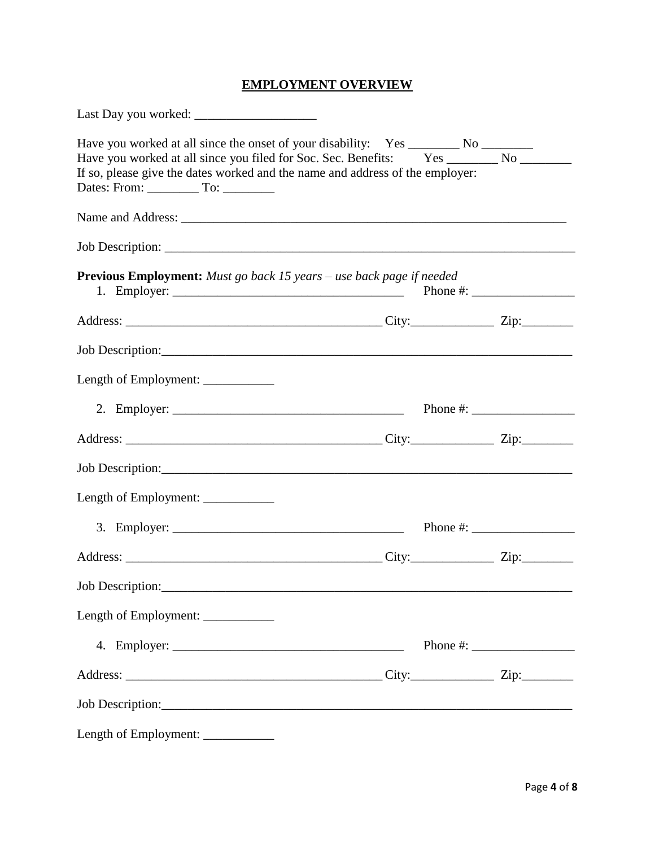# **EMPLOYMENT OVERVIEW**

| Have you worked at all since the onset of your disability: Yes ________ No ________<br>Have you worked at all since you filed for Soc. Sec. Benefits: Yes ________ No ________<br>If so, please give the dates worked and the name and address of the employer: |  |                        |
|-----------------------------------------------------------------------------------------------------------------------------------------------------------------------------------------------------------------------------------------------------------------|--|------------------------|
|                                                                                                                                                                                                                                                                 |  |                        |
|                                                                                                                                                                                                                                                                 |  |                        |
| <b>Previous Employment:</b> Must go back 15 years – use back page if needed                                                                                                                                                                                     |  |                        |
|                                                                                                                                                                                                                                                                 |  |                        |
|                                                                                                                                                                                                                                                                 |  |                        |
| Length of Employment: ____________                                                                                                                                                                                                                              |  |                        |
|                                                                                                                                                                                                                                                                 |  |                        |
|                                                                                                                                                                                                                                                                 |  |                        |
|                                                                                                                                                                                                                                                                 |  |                        |
| Length of Employment: _____________                                                                                                                                                                                                                             |  |                        |
|                                                                                                                                                                                                                                                                 |  | Phone #: $\frac{1}{2}$ |
|                                                                                                                                                                                                                                                                 |  |                        |
| Job Description:                                                                                                                                                                                                                                                |  |                        |
| Length of Employment: ___________                                                                                                                                                                                                                               |  |                        |
|                                                                                                                                                                                                                                                                 |  |                        |
|                                                                                                                                                                                                                                                                 |  |                        |
|                                                                                                                                                                                                                                                                 |  |                        |
| Length of Employment: ___________                                                                                                                                                                                                                               |  |                        |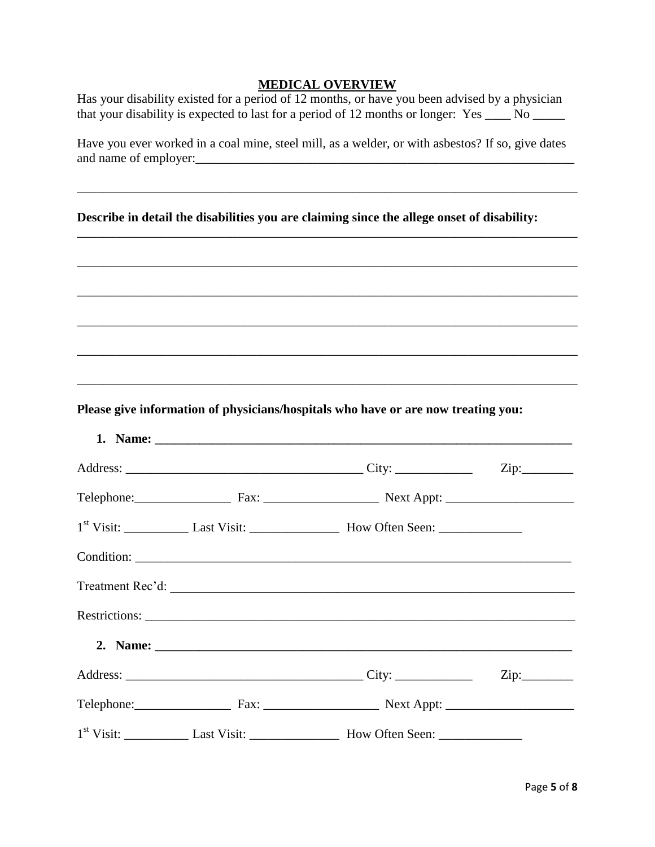#### **MEDICAL OVERVIEW**

Has your disability existed for a period of 12 months, or have you been advised by a physician that your disability is expected to last for a period of 12 months or longer: Yes \_\_\_\_ No \_\_\_\_\_

Have you ever worked in a coal mine, steel mill, as a welder, or with asbestos? If so, give dates and name of employer:\_\_\_\_\_\_\_\_\_\_\_\_\_\_\_\_\_\_\_\_\_\_\_\_\_\_\_\_\_\_\_\_\_\_\_\_\_\_\_\_\_\_\_\_\_\_\_\_\_\_\_\_\_\_\_\_\_\_\_

\_\_\_\_\_\_\_\_\_\_\_\_\_\_\_\_\_\_\_\_\_\_\_\_\_\_\_\_\_\_\_\_\_\_\_\_\_\_\_\_\_\_\_\_\_\_\_\_\_\_\_\_\_\_\_\_\_\_\_\_\_\_\_\_\_\_\_\_\_\_\_\_\_\_\_\_\_\_

\_\_\_\_\_\_\_\_\_\_\_\_\_\_\_\_\_\_\_\_\_\_\_\_\_\_\_\_\_\_\_\_\_\_\_\_\_\_\_\_\_\_\_\_\_\_\_\_\_\_\_\_\_\_\_\_\_\_\_\_\_\_\_\_\_\_\_\_\_\_\_\_\_\_\_\_\_\_

\_\_\_\_\_\_\_\_\_\_\_\_\_\_\_\_\_\_\_\_\_\_\_\_\_\_\_\_\_\_\_\_\_\_\_\_\_\_\_\_\_\_\_\_\_\_\_\_\_\_\_\_\_\_\_\_\_\_\_\_\_\_\_\_\_\_\_\_\_\_\_\_\_\_\_\_\_\_

\_\_\_\_\_\_\_\_\_\_\_\_\_\_\_\_\_\_\_\_\_\_\_\_\_\_\_\_\_\_\_\_\_\_\_\_\_\_\_\_\_\_\_\_\_\_\_\_\_\_\_\_\_\_\_\_\_\_\_\_\_\_\_\_\_\_\_\_\_\_\_\_\_\_\_\_\_\_

\_\_\_\_\_\_\_\_\_\_\_\_\_\_\_\_\_\_\_\_\_\_\_\_\_\_\_\_\_\_\_\_\_\_\_\_\_\_\_\_\_\_\_\_\_\_\_\_\_\_\_\_\_\_\_\_\_\_\_\_\_\_\_\_\_\_\_\_\_\_\_\_\_\_\_\_\_\_

\_\_\_\_\_\_\_\_\_\_\_\_\_\_\_\_\_\_\_\_\_\_\_\_\_\_\_\_\_\_\_\_\_\_\_\_\_\_\_\_\_\_\_\_\_\_\_\_\_\_\_\_\_\_\_\_\_\_\_\_\_\_\_\_\_\_\_\_\_\_\_\_\_\_\_\_\_\_

\_\_\_\_\_\_\_\_\_\_\_\_\_\_\_\_\_\_\_\_\_\_\_\_\_\_\_\_\_\_\_\_\_\_\_\_\_\_\_\_\_\_\_\_\_\_\_\_\_\_\_\_\_\_\_\_\_\_\_\_\_\_\_\_\_\_\_\_\_\_\_\_\_\_\_\_\_\_

**Describe in detail the disabilities you are claiming since the allege onset of disability:** 

**Please give information of physicians/hospitals who have or are now treating you:**

|  | Telephone: Fax: Fax: Next Appt: Next Appt:                     |  |
|--|----------------------------------------------------------------|--|
|  | 1 <sup>st</sup> Visit: Last Visit: Last Visit: How Often Seen: |  |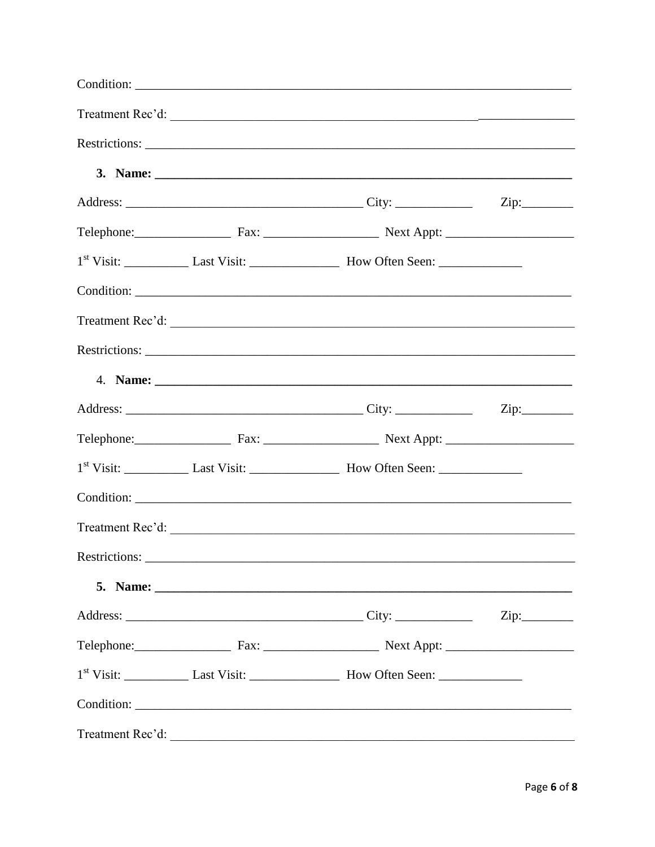|                  |  | $\overline{\text{Zip:}}$ |
|------------------|--|--------------------------|
|                  |  |                          |
|                  |  |                          |
|                  |  |                          |
|                  |  |                          |
|                  |  |                          |
|                  |  |                          |
|                  |  |                          |
|                  |  |                          |
|                  |  |                          |
|                  |  |                          |
| Treatment Rec'd: |  |                          |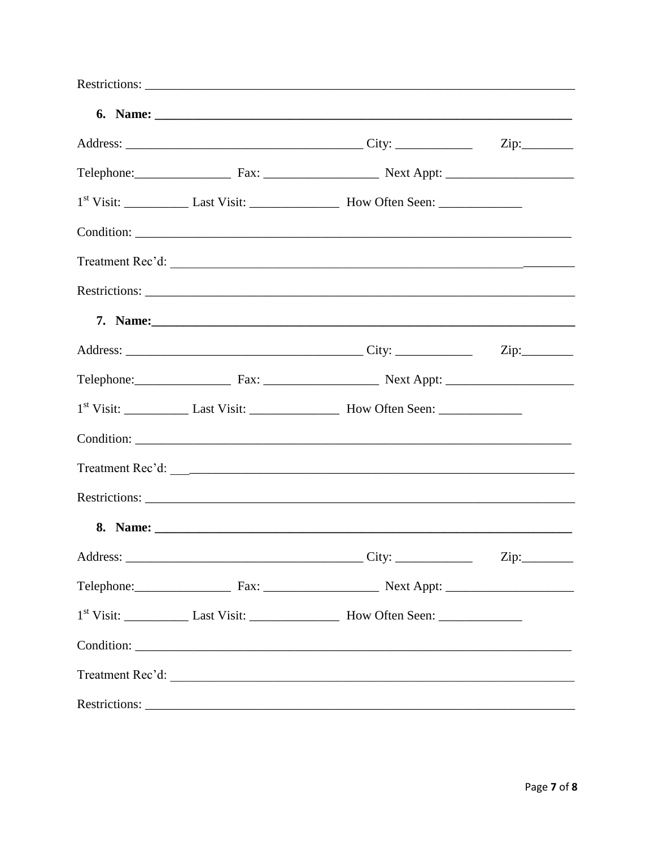|  | Telephone: Fax: Fax: Next Appt: Next Appt: |  |
|--|--------------------------------------------|--|
|  |                                            |  |
|  |                                            |  |
|  |                                            |  |
|  |                                            |  |
|  |                                            |  |
|  |                                            |  |
|  |                                            |  |
|  |                                            |  |
|  |                                            |  |
|  |                                            |  |
|  |                                            |  |
|  |                                            |  |
|  |                                            |  |
|  | Telephone: Fax: Fax: Next Appt: Next Appt: |  |
|  |                                            |  |
|  |                                            |  |
|  |                                            |  |
|  |                                            |  |